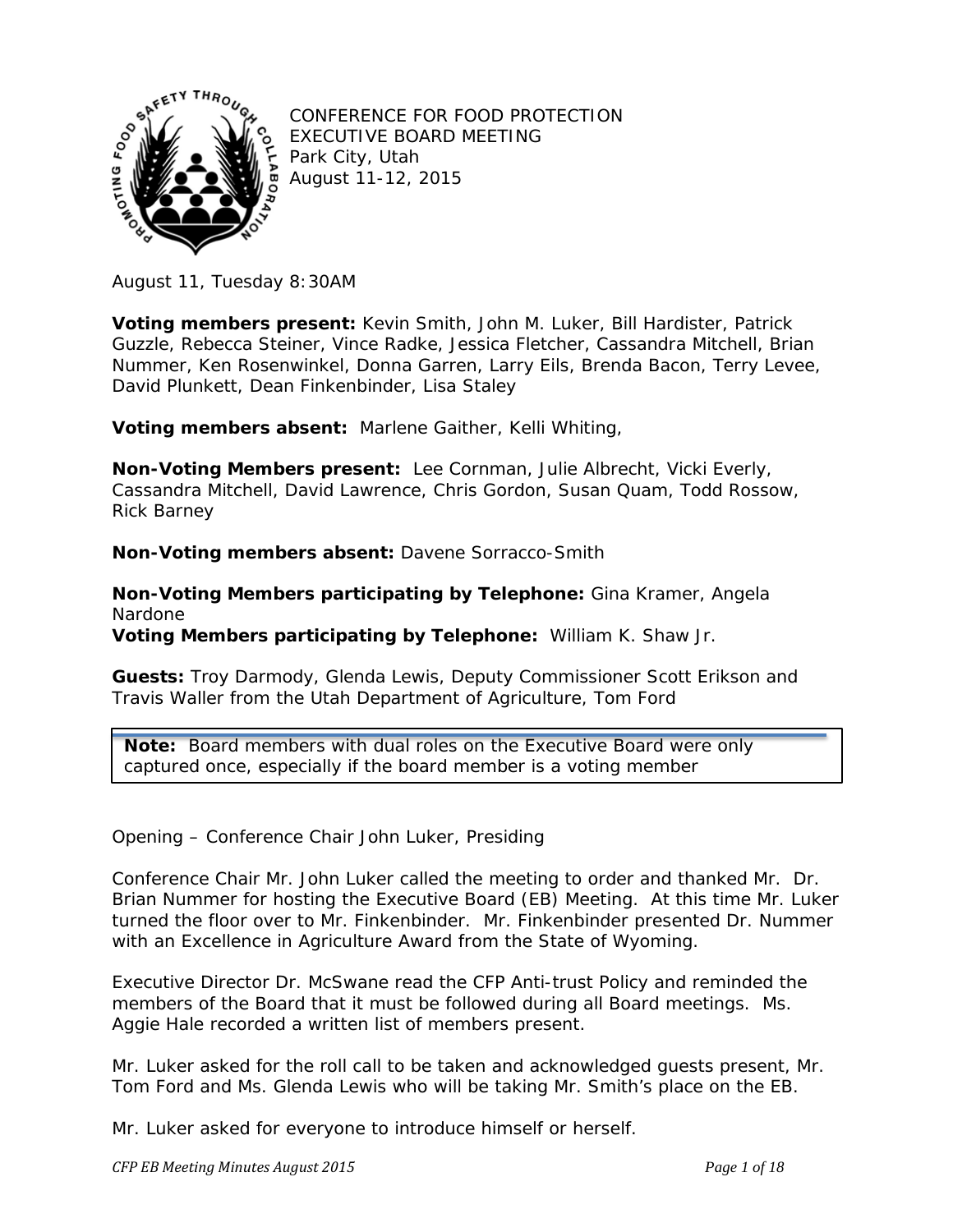

CONFERENCE FOR FOOD PROTECTION EXECUTIVE BOARD MEETING Park City, Utah August 11-12, 2015

*August 11, Tuesday 8:30AM*

**Voting members present:** Kevin Smith, John M. Luker, Bill Hardister, Patrick Guzzle, Rebecca Steiner, Vince Radke, Jessica Fletcher, Cassandra Mitchell, Brian Nummer, Ken Rosenwinkel, Donna Garren, Larry Eils, Brenda Bacon, Terry Levee, David Plunkett, Dean Finkenbinder, Lisa Staley

**Voting members absent:** Marlene Gaither, Kelli Whiting,

**Non-Voting Members present:** Lee Cornman, Julie Albrecht, Vicki Everly, Cassandra Mitchell, David Lawrence, Chris Gordon, Susan Quam, Todd Rossow, Rick Barney

**Non-Voting members absent:** Davene Sorracco-Smith

**Non-Voting Members participating by Telephone:** Gina Kramer, Angela Nardone

**Voting Members participating by Telephone:** William K. Shaw Jr.

**Guests:** Troy Darmody, Glenda Lewis, Deputy Commissioner Scott Erikson and Travis Waller from the Utah Department of Agriculture, Tom Ford

**Note:** Board members with dual roles on the Executive Board were only captured once, especially if the board member is a voting member

Opening – Conference Chair John Luker, Presiding

Conference Chair Mr. John Luker called the meeting to order and thanked Mr. Dr. Brian Nummer for hosting the Executive Board (EB) Meeting. At this time Mr. Luker turned the floor over to Mr. Finkenbinder. Mr. Finkenbinder presented Dr. Nummer with an Excellence in Agriculture Award from the State of Wyoming.

Executive Director Dr. McSwane read the CFP Anti-trust Policy and reminded the members of the Board that it must be followed during all Board meetings. Ms. Aggie Hale recorded a written list of members present.

Mr. Luker asked for the roll call to be taken and acknowledged guests present, Mr. Tom Ford and Ms. Glenda Lewis who will be taking Mr. Smith's place on the EB.

Mr. Luker asked for everyone to introduce himself or herself.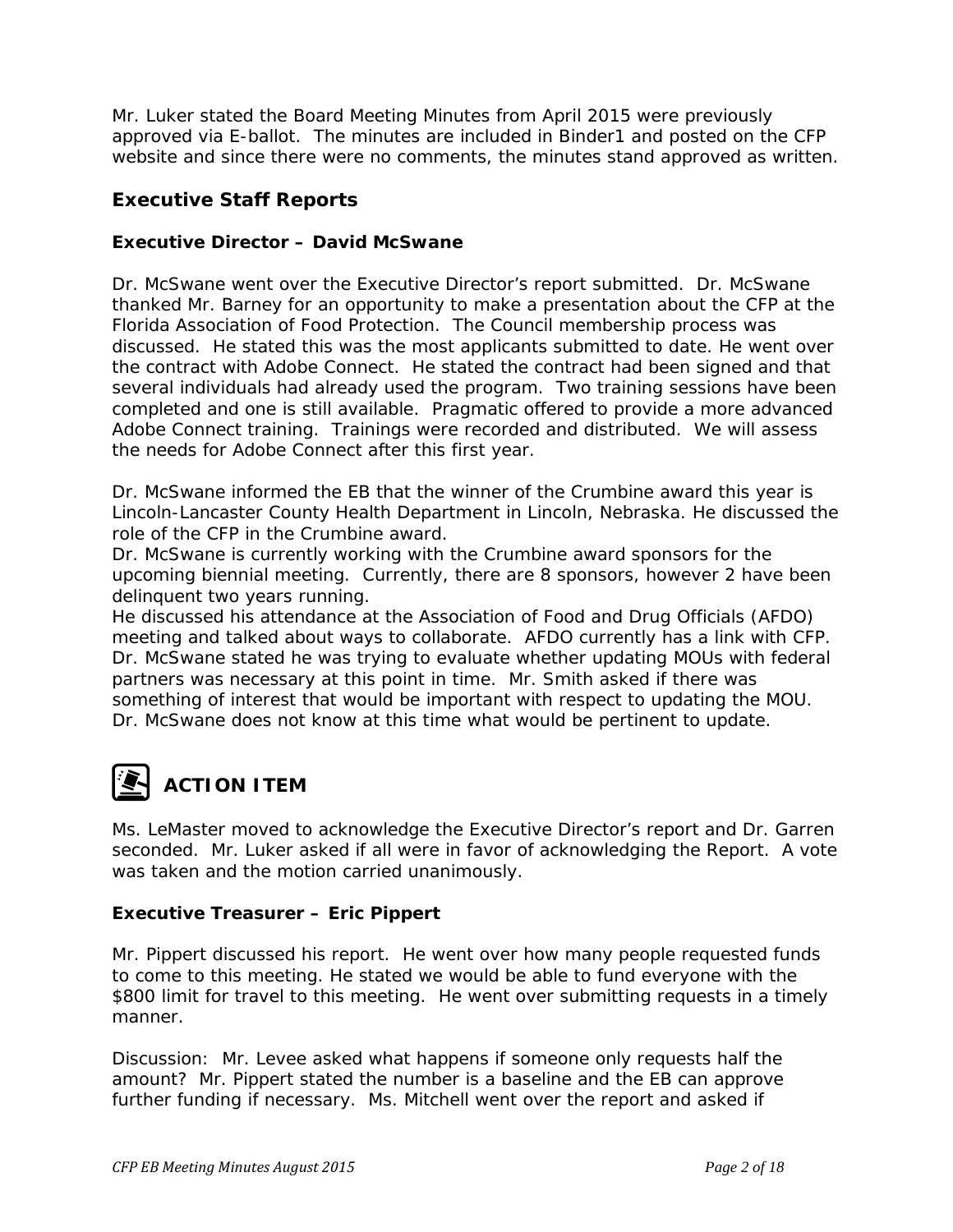Mr. Luker stated the Board Meeting Minutes from April 2015 were previously approved via E-ballot. The minutes are included in Binder1 and posted on the CFP website and since there were no comments, the minutes stand approved as written.

#### *Executive Staff Reports*

#### **Executive Director – David McSwane**

Dr. McSwane went over the Executive Director's report submitted. Dr. McSwane thanked Mr. Barney for an opportunity to make a presentation about the CFP at the Florida Association of Food Protection. The Council membership process was discussed. He stated this was the most applicants submitted to date. He went over the contract with Adobe Connect. He stated the contract had been signed and that several individuals had already used the program. Two training sessions have been completed and one is still available. Pragmatic offered to provide a more advanced Adobe Connect training. Trainings were recorded and distributed. We will assess the needs for Adobe Connect after this first year.

Dr. McSwane informed the EB that the winner of the Crumbine award this year is Lincoln-Lancaster County Health Department in Lincoln, Nebraska. He discussed the role of the CFP in the Crumbine award.

Dr. McSwane is currently working with the Crumbine award sponsors for the upcoming biennial meeting. Currently, there are 8 sponsors, however 2 have been delinquent two years running.

He discussed his attendance at the Association of Food and Drug Officials (AFDO) meeting and talked about ways to collaborate. AFDO currently has a link with CFP. Dr. McSwane stated he was trying to evaluate whether updating MOUs with federal partners was necessary at this point in time. Mr. Smith asked if there was something of interest that would be important with respect to updating the MOU. Dr. McSwane does not know at this time what would be pertinent to update.

# **ACTION ITEM**

Ms. LeMaster moved to acknowledge the Executive Director's report and Dr. Garren seconded. Mr. Luker asked if all were in favor of acknowledging the Report. A vote was taken and the motion carried unanimously.

#### **Executive Treasurer – Eric Pippert**

Mr. Pippert discussed his report. He went over how many people requested funds to come to this meeting. He stated we would be able to fund everyone with the \$800 limit for travel to this meeting. He went over submitting requests in a timely manner.

Discussion: Mr. Levee asked what happens if someone only requests half the amount? Mr. Pippert stated the number is a baseline and the EB can approve further funding if necessary. Ms. Mitchell went over the report and asked if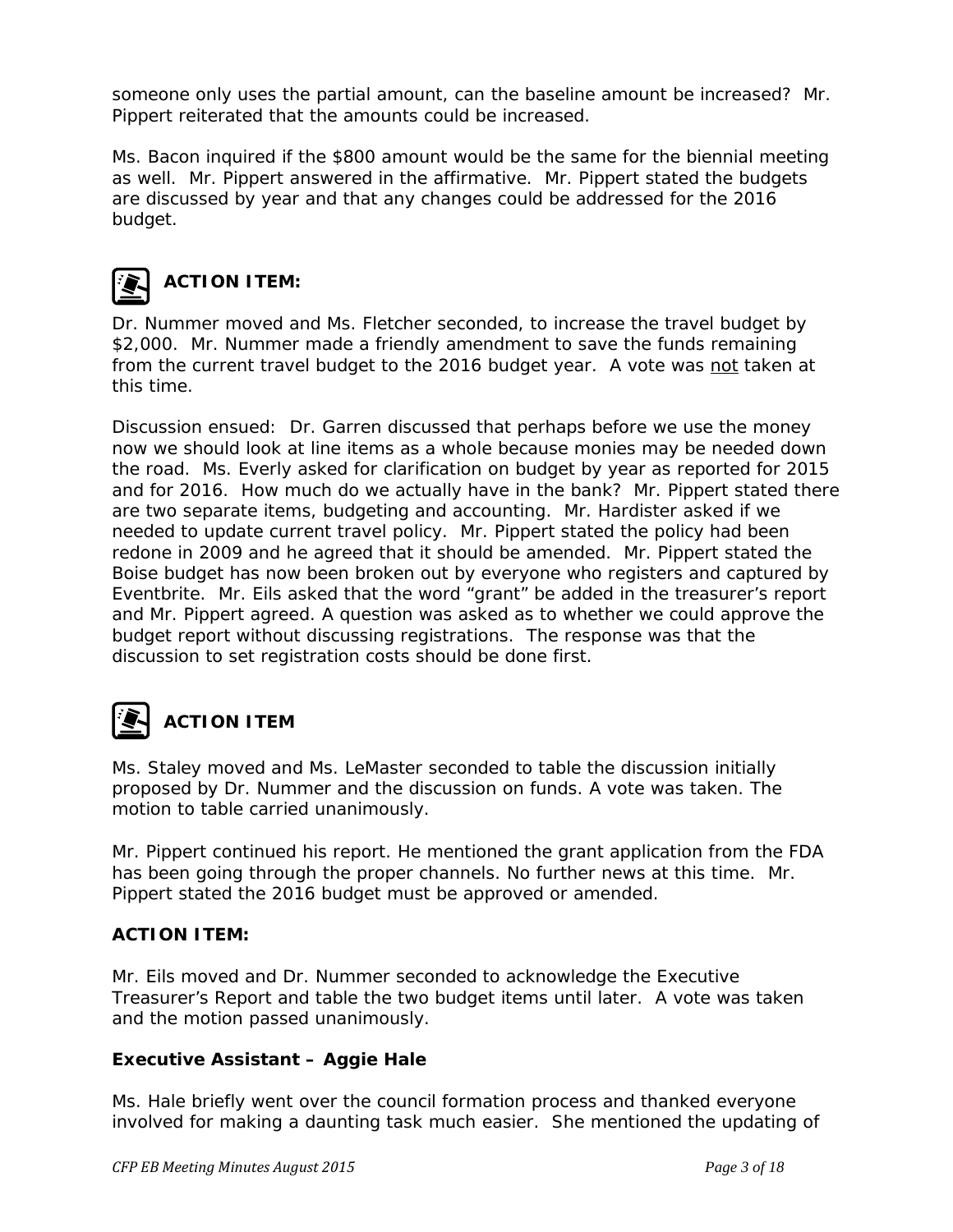someone only uses the partial amount, can the baseline amount be increased? Mr. Pippert reiterated that the amounts could be increased.

Ms. Bacon inquired if the \$800 amount would be the same for the biennial meeting as well. Mr. Pippert answered in the affirmative. Mr. Pippert stated the budgets are discussed by year and that any changes could be addressed for the 2016 budget.



#### **ACTION ITEM:**

Dr. Nummer moved and Ms. Fletcher seconded, to increase the travel budget by \$2,000. Mr. Nummer made a friendly amendment to save the funds remaining from the current travel budget to the 2016 budget year. A vote was not taken at this time.

Discussion ensued: Dr. Garren discussed that perhaps before we use the money now we should look at line items as a whole because monies may be needed down the road. Ms. Everly asked for clarification on budget by year as reported for 2015 and for 2016. How much do we actually have in the bank? Mr. Pippert stated there are two separate items, budgeting and accounting. Mr. Hardister asked if we needed to update current travel policy. Mr. Pippert stated the policy had been redone in 2009 and he agreed that it should be amended. Mr. Pippert stated the Boise budget has now been broken out by everyone who registers and captured by Eventbrite. Mr. Eils asked that the word "grant" be added in the treasurer's report and Mr. Pippert agreed. A question was asked as to whether we could approve the budget report without discussing registrations. The response was that the discussion to set registration costs should be done first.

# **ACTION ITEM**

Ms. Staley moved and Ms. LeMaster seconded to table the discussion initially proposed by Dr. Nummer and the discussion on funds. A vote was taken. The motion to table carried unanimously.

Mr. Pippert continued his report. He mentioned the grant application from the FDA has been going through the proper channels. No further news at this time. Mr. Pippert stated the 2016 budget must be approved or amended.

#### **ACTION ITEM:**

Mr. Eils moved and Dr. Nummer seconded to acknowledge the Executive Treasurer's Report and table the two budget items until later. A vote was taken and the motion passed unanimously.

#### **Executive Assistant – Aggie Hale**

Ms. Hale briefly went over the council formation process and thanked everyone involved for making a daunting task much easier. She mentioned the updating of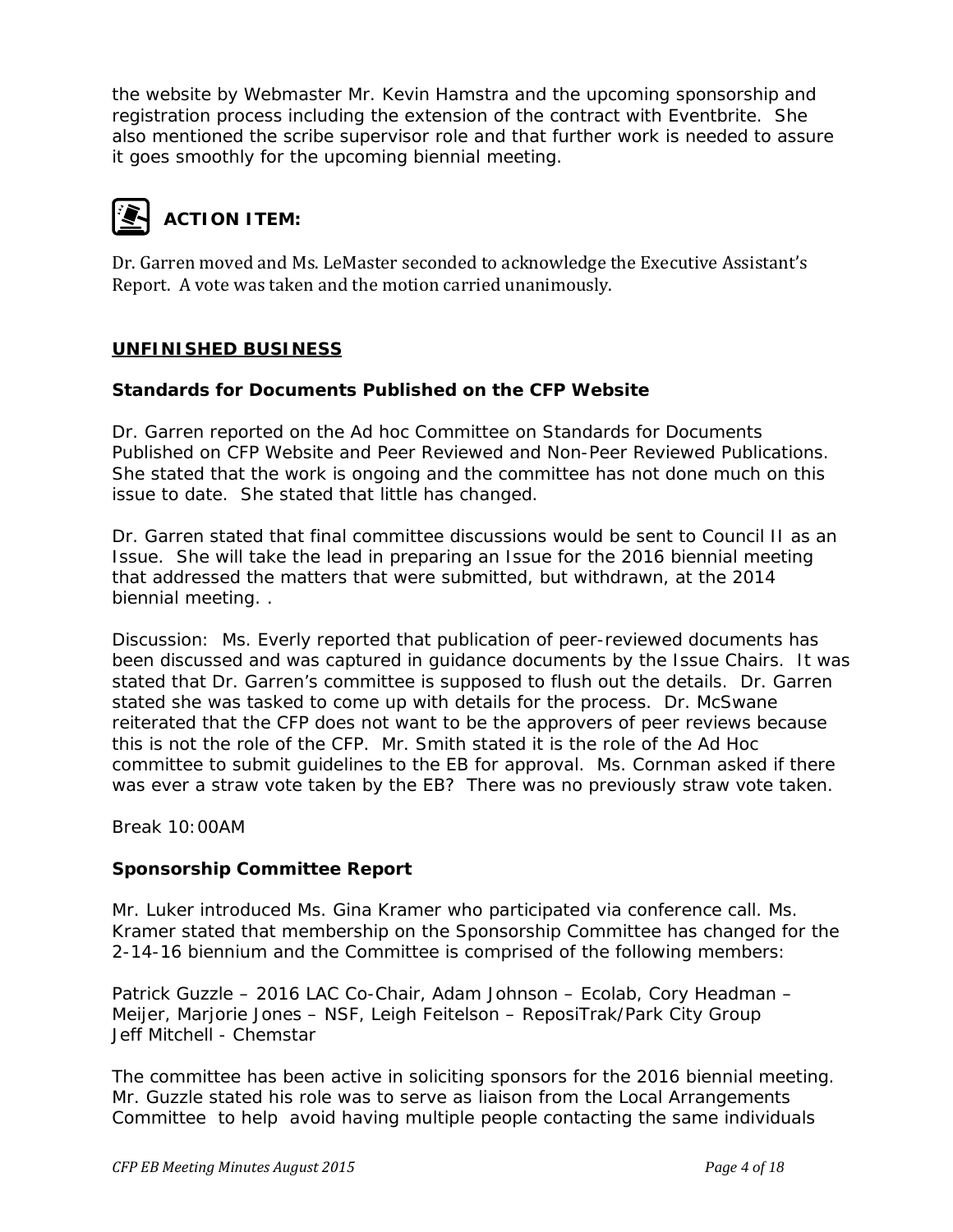the website by Webmaster Mr. Kevin Hamstra and the upcoming sponsorship and registration process including the extension of the contract with Eventbrite. She also mentioned the scribe supervisor role and that further work is needed to assure it goes smoothly for the upcoming biennial meeting.

# **ACTION ITEM:**

Dr. Garren moved and Ms. LeMaster seconded to acknowledge the Executive Assistant's Report. A vote was taken and the motion carried unanimously.

#### *UNFINISHED BUSINESS*

#### **Standards for Documents Published on the CFP Website**

Dr. Garren reported on the Ad hoc Committee on Standards for Documents Published on CFP Website and Peer Reviewed and Non-Peer Reviewed Publications. She stated that the work is ongoing and the committee has not done much on this issue to date. She stated that little has changed.

Dr. Garren stated that final committee discussions would be sent to Council II as an Issue. She will take the lead in preparing an Issue for the 2016 biennial meeting that addressed the matters that were submitted, but withdrawn, at the 2014 biennial meeting. .

Discussion: Ms. Everly reported that publication of peer-reviewed documents has been discussed and was captured in guidance documents by the Issue Chairs. It was stated that Dr. Garren's committee is supposed to flush out the details. Dr. Garren stated she was tasked to come up with details for the process. Dr. McSwane reiterated that the CFP does not want to be the approvers of peer reviews because this is not the role of the CFP. Mr. Smith stated it is the role of the Ad Hoc committee to submit guidelines to the EB for approval. Ms. Cornman asked if there was ever a straw vote taken by the EB? There was no previously straw vote taken.

*Break 10:00AM* 

#### **Sponsorship Committee Report**

Mr. Luker introduced Ms. Gina Kramer who participated via conference call. Ms. Kramer stated that membership on the Sponsorship Committee has changed for the 2-14-16 biennium and the Committee is comprised of the following members:

Patrick Guzzle – 2016 LAC Co-Chair, Adam Johnson – Ecolab, Cory Headman – Meijer, Marjorie Jones – NSF, Leigh Feitelson – ReposiTrak/Park City Group Jeff Mitchell - Chemstar

The committee has been active in soliciting sponsors for the 2016 biennial meeting. Mr. Guzzle stated his role was to serve as liaison from the Local Arrangements Committee to help avoid having multiple people contacting the same individuals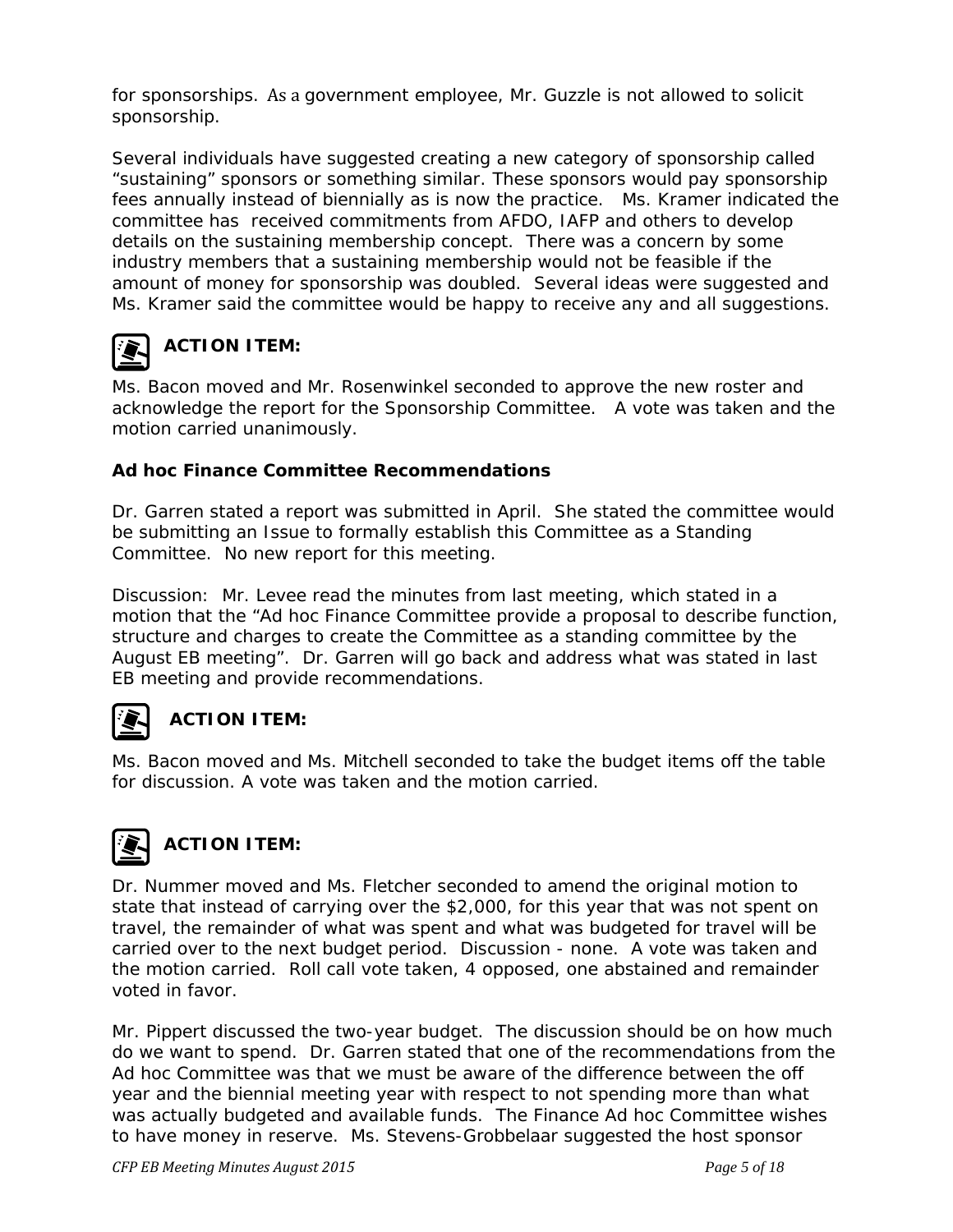for sponsorships. As a government employee, Mr. Guzzle is not allowed to solicit sponsorship.

Several individuals have suggested creating a new category of sponsorship called "sustaining" sponsors or something similar. These sponsors would pay sponsorship fees annually instead of biennially as is now the practice. Ms. Kramer indicated the committee has received commitments from AFDO, IAFP and others to develop details on the sustaining membership concept. There was a concern by some industry members that a sustaining membership would not be feasible if the amount of money for sponsorship was doubled. Several ideas were suggested and Ms. Kramer said the committee would be happy to receive any and all suggestions.



# **ACTION ITEM:**

Ms. Bacon moved and Mr. Rosenwinkel seconded to approve the new roster and acknowledge the report for the Sponsorship Committee. A vote was taken and the motion carried unanimously.

#### **Ad hoc Finance Committee Recommendations**

Dr. Garren stated a report was submitted in April. She stated the committee would be submitting an Issue to formally establish this Committee as a Standing Committee. No new report for this meeting.

Discussion: Mr. Levee read the minutes from last meeting, which stated in a motion that the "Ad hoc Finance Committee provide a proposal to describe function, structure and charges to create the Committee as a standing committee by the August EB meeting". Dr. Garren will go back and address what was stated in last EB meeting and provide recommendations.



#### **ACTION ITEM:**

Ms. Bacon moved and Ms. Mitchell seconded to take the budget items off the table for discussion. A vote was taken and the motion carried.



### **ACTION ITEM:**

Dr. Nummer moved and Ms. Fletcher seconded to amend the original motion to state that instead of carrying over the \$2,000, for this year that was not spent on travel, the remainder of what was spent and what was budgeted for travel will be carried over to the next budget period. Discussion - none. A vote was taken and the motion carried. Roll call vote taken, 4 opposed, one abstained and remainder voted in favor.

Mr. Pippert discussed the two-year budget. The discussion should be on how much do we want to spend. Dr. Garren stated that one of the recommendations from the Ad hoc Committee was that we must be aware of the difference between the off year and the biennial meeting year with respect to not spending more than what was actually budgeted and available funds. The Finance Ad hoc Committee wishes to have money in reserve. Ms. Stevens-Grobbelaar suggested the host sponsor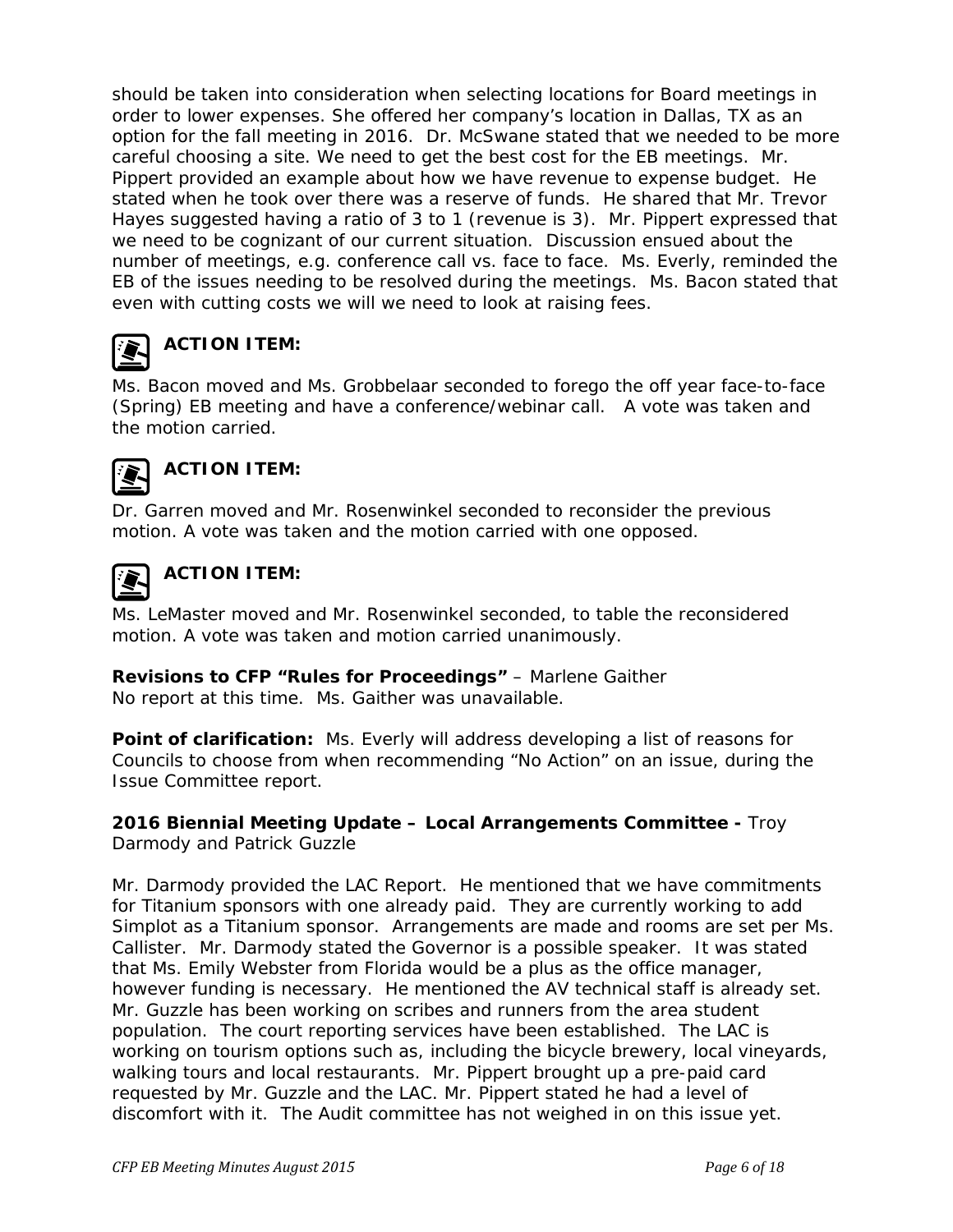should be taken into consideration when selecting locations for Board meetings in order to lower expenses. She offered her company's location in Dallas, TX as an option for the fall meeting in 2016. Dr. McSwane stated that we needed to be more careful choosing a site. We need to get the best cost for the EB meetings. Mr. Pippert provided an example about how we have revenue to expense budget. He stated when he took over there was a reserve of funds. He shared that Mr. Trevor Hayes suggested having a ratio of 3 to 1 (revenue is 3). Mr. Pippert expressed that we need to be cognizant of our current situation. Discussion ensued about the number of meetings, e.g. conference call vs. face to face. Ms. Everly, reminded the EB of the issues needing to be resolved during the meetings. Ms. Bacon stated that even with cutting costs we will we need to look at raising fees.



### **ACTION ITEM:**

Ms. Bacon moved and Ms. Grobbelaar seconded to forego the off year face-to-face (Spring) EB meeting and have a conference/webinar call. A vote was taken and the motion carried.



### **ACTION ITEM:**

Dr. Garren moved and Mr. Rosenwinkel seconded to reconsider the previous motion. A vote was taken and the motion carried with one opposed.



### **ACTION ITEM:**

Ms. LeMaster moved and Mr. Rosenwinkel seconded, to table the reconsidered motion. A vote was taken and motion carried unanimously.

**Revisions to CFP "Rules for Proceedings"** – Marlene Gaither No report at this time. Ms. Gaither was unavailable.

**Point of clarification:** Ms. Everly will address developing a list of reasons for Councils to choose from when recommending "No Action" on an issue, during the Issue Committee report.

**2016 Biennial Meeting Update – Local Arrangements Committee -** Troy Darmody and Patrick Guzzle

Mr. Darmody provided the LAC Report. He mentioned that we have commitments for Titanium sponsors with one already paid. They are currently working to add Simplot as a Titanium sponsor. Arrangements are made and rooms are set per Ms. Callister. Mr. Darmody stated the Governor is a possible speaker. It was stated that Ms. Emily Webster from Florida would be a plus as the office manager, however funding is necessary. He mentioned the AV technical staff is already set. Mr. Guzzle has been working on scribes and runners from the area student population. The court reporting services have been established. The LAC is working on tourism options such as, including the bicycle brewery, local vineyards, walking tours and local restaurants. Mr. Pippert brought up a pre-paid card requested by Mr. Guzzle and the LAC. Mr. Pippert stated he had a level of discomfort with it. The Audit committee has not weighed in on this issue yet.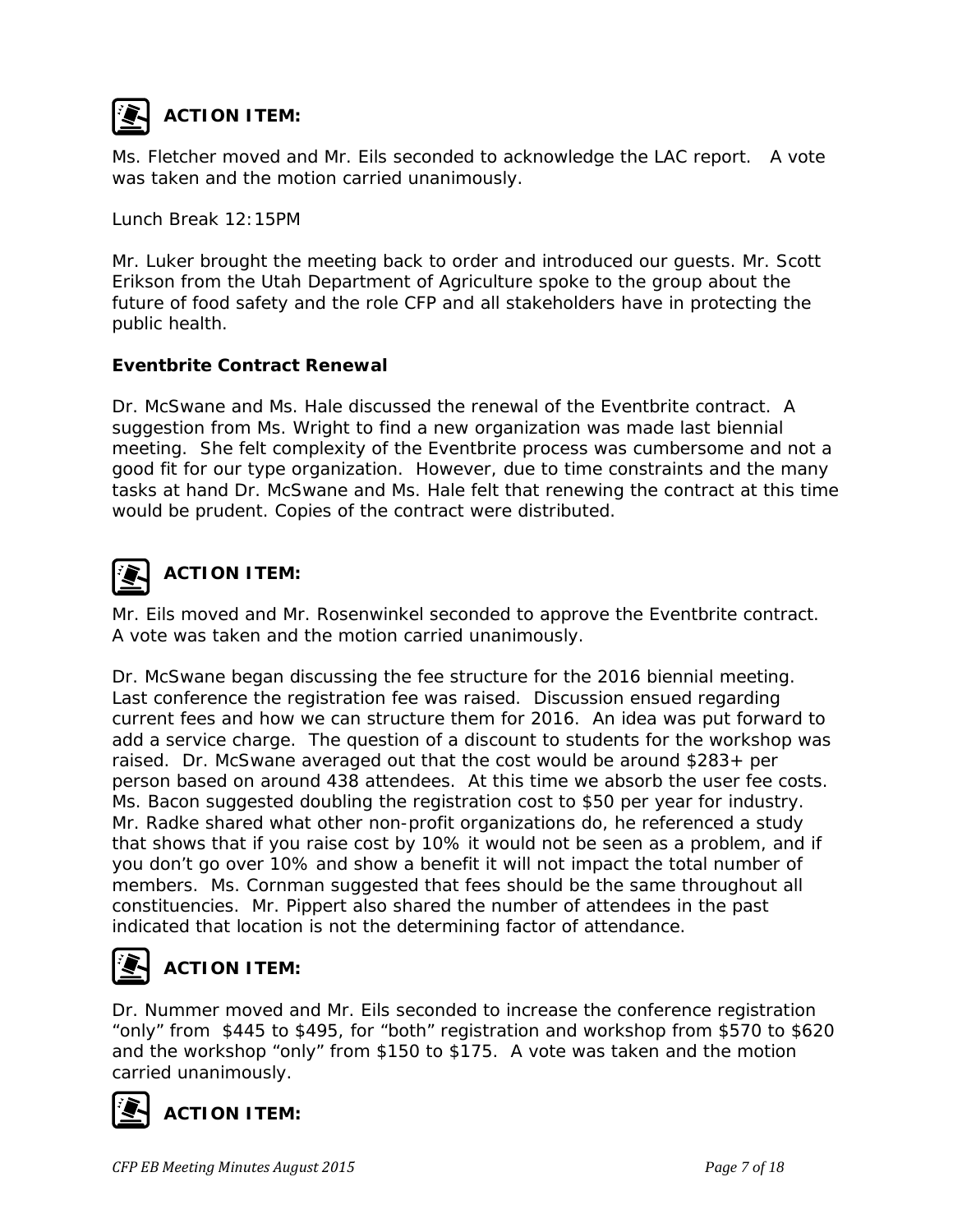

Ms. Fletcher moved and Mr. Eils seconded to acknowledge the LAC report. A vote was taken and the motion carried unanimously.

*Lunch Break 12:15PM*

Mr. Luker brought the meeting back to order and introduced our guests. Mr. Scott Erikson from the Utah Department of Agriculture spoke to the group about the future of food safety and the role CFP and all stakeholders have in protecting the public health.

#### **Eventbrite Contract Renewal**

Dr. McSwane and Ms. Hale discussed the renewal of the Eventbrite contract. A suggestion from Ms. Wright to find a new organization was made last biennial meeting. She felt complexity of the Eventbrite process was cumbersome and not a good fit for our type organization. However, due to time constraints and the many tasks at hand Dr. McSwane and Ms. Hale felt that renewing the contract at this time would be prudent. Copies of the contract were distributed.



## **ACTION ITEM:**

Mr. Eils moved and Mr. Rosenwinkel seconded to approve the Eventbrite contract. A vote was taken and the motion carried unanimously.

Dr. McSwane began discussing the fee structure for the 2016 biennial meeting. Last conference the registration fee was raised. Discussion ensued regarding current fees and how we can structure them for 2016. An idea was put forward to add a service charge. The question of a discount to students for the workshop was raised. Dr. McSwane averaged out that the cost would be around \$283+ per person based on around 438 attendees. At this time we absorb the user fee costs. Ms. Bacon suggested doubling the registration cost to \$50 per year for industry. Mr. Radke shared what other non-profit organizations do, he referenced a study that shows that if you raise cost by 10% it would not be seen as a problem, and if you don't go over 10% and show a benefit it will not impact the total number of members. Ms. Cornman suggested that fees should be the same throughout all constituencies. Mr. Pippert also shared the number of attendees in the past indicated that location is not the determining factor of attendance.

# **ACTION ITEM:**

Dr. Nummer moved and Mr. Eils seconded to increase the conference registration "only" from \$445 to \$495, for "both" registration and workshop from \$570 to \$620 and the workshop "only" from \$150 to \$175. A vote was taken and the motion carried unanimously.



**ACTION ITEM:**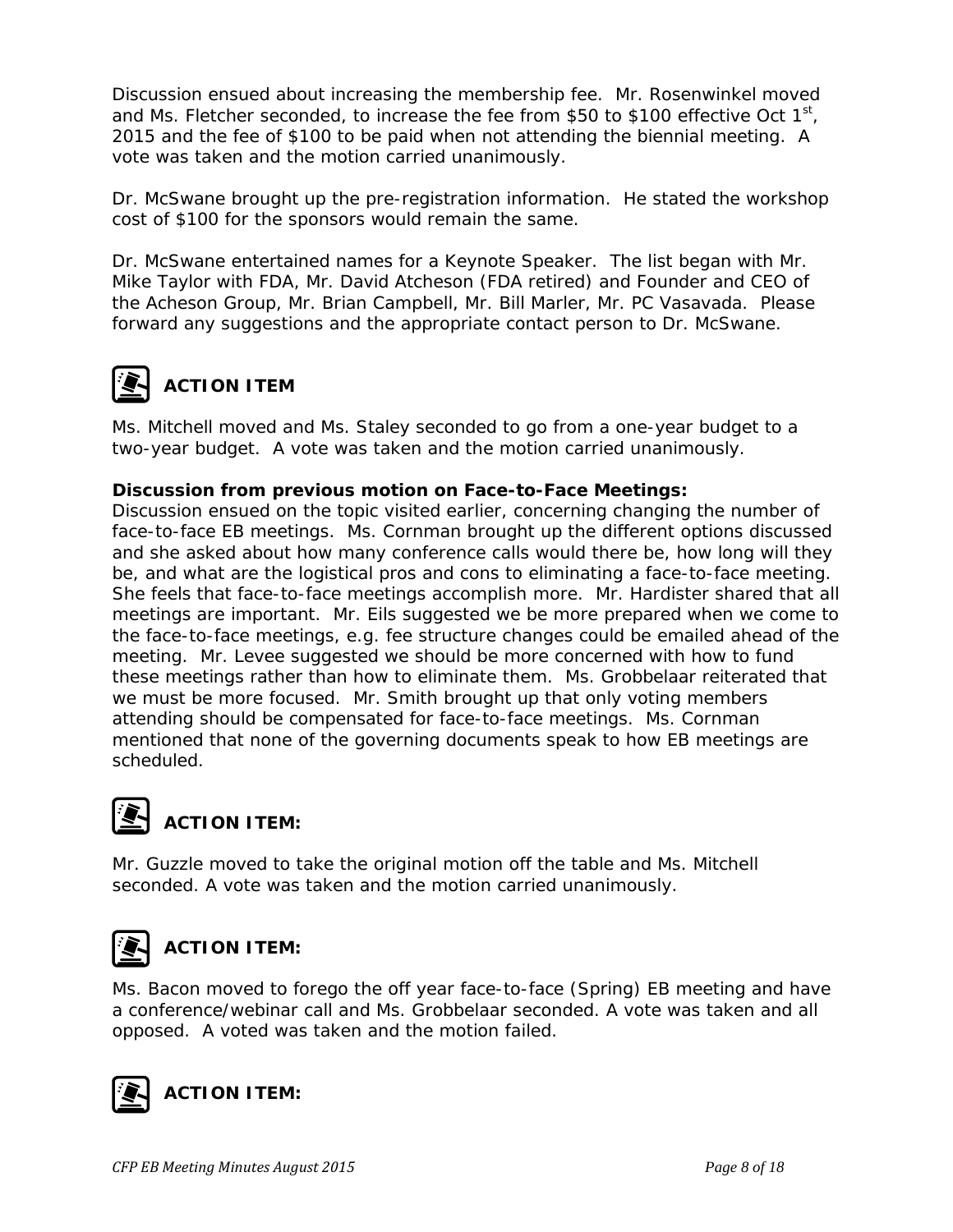Discussion ensued about increasing the membership fee. Mr. Rosenwinkel moved and Ms. Fletcher seconded, to increase the fee from \$50 to \$100 effective Oct  $1<sup>st</sup>$ , 2015 and the fee of \$100 to be paid when not attending the biennial meeting. A vote was taken and the motion carried unanimously.

Dr. McSwane brought up the pre-registration information. He stated the workshop cost of \$100 for the sponsors would remain the same.

Dr. McSwane entertained names for a Keynote Speaker. The list began with Mr. Mike Taylor with FDA, Mr. David Atcheson (FDA retired) and Founder and CEO of the Acheson Group, Mr. Brian Campbell, Mr. Bill Marler, Mr. PC Vasavada. Please forward any suggestions and the appropriate contact person to Dr. McSwane.



Ms. Mitchell moved and Ms. Staley seconded to go from a one-year budget to a two-year budget. A vote was taken and the motion carried unanimously.

#### **Discussion from previous motion on Face-to-Face Meetings:**

Discussion ensued on the topic visited earlier, concerning changing the number of face-to-face EB meetings. Ms. Cornman brought up the different options discussed and she asked about how many conference calls would there be, how long will they be, and what are the logistical pros and cons to eliminating a face-to-face meeting. She feels that face-to-face meetings accomplish more. Mr. Hardister shared that all meetings are important. Mr. Eils suggested we be more prepared when we come to the face-to-face meetings, e.g. fee structure changes could be emailed ahead of the meeting. Mr. Levee suggested we should be more concerned with how to fund these meetings rather than how to eliminate them. Ms. Grobbelaar reiterated that we must be more focused. Mr. Smith brought up that only voting members attending should be compensated for face-to-face meetings. Ms. Cornman mentioned that none of the governing documents speak to how EB meetings are scheduled.



### **ACTION ITEM:**

Mr. Guzzle moved to take the original motion off the table and Ms. Mitchell seconded. A vote was taken and the motion carried unanimously.



**ACTION ITEM:** 

Ms. Bacon moved to forego the off year face-to-face (Spring) EB meeting and have a conference/webinar call and Ms. Grobbelaar seconded. A vote was taken and all opposed. A voted was taken and the motion failed.



#### **ACTION ITEM:**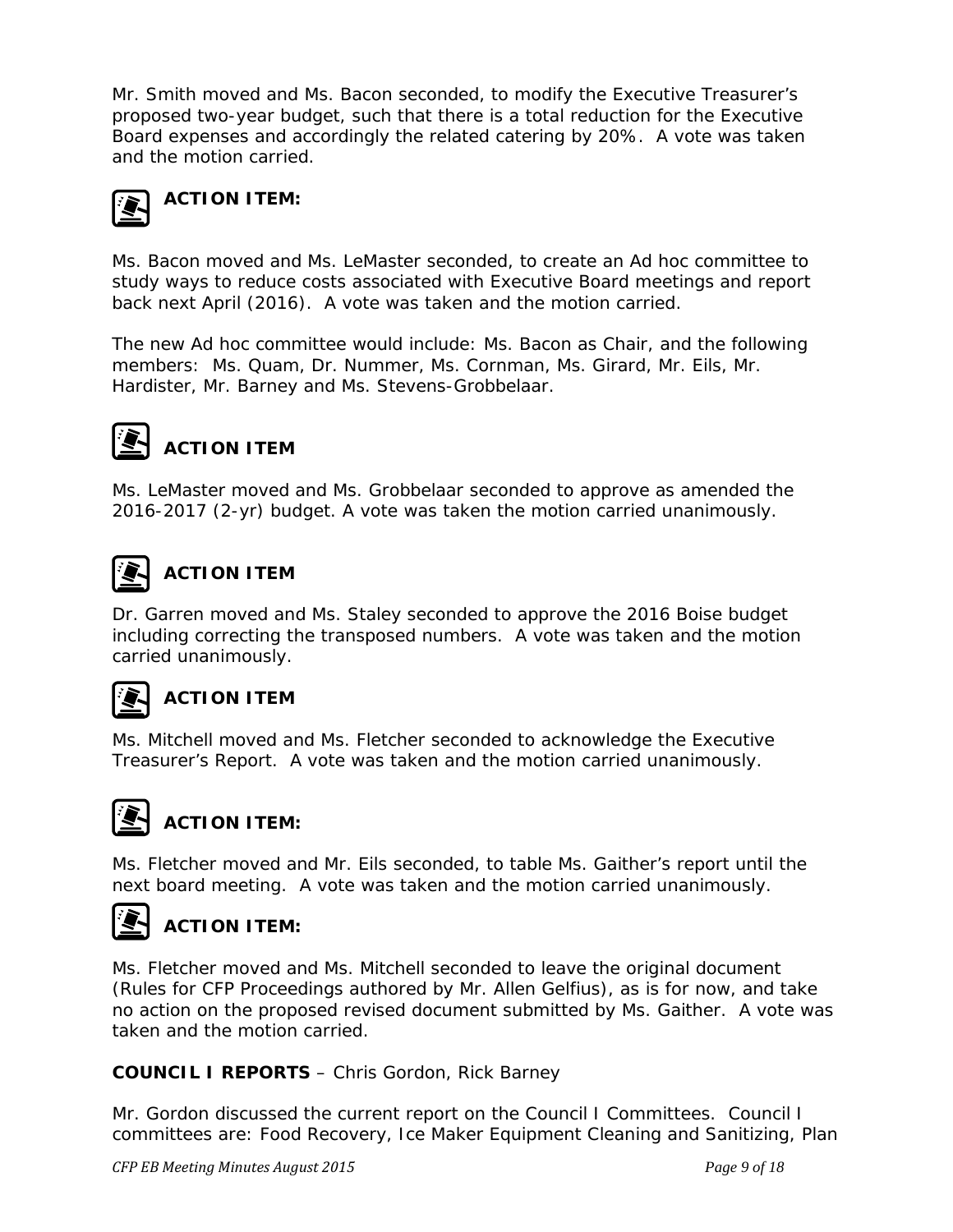Mr. Smith moved and Ms. Bacon seconded, to modify the Executive Treasurer's proposed two-year budget, such that there is a total reduction for the Executive Board expenses and accordingly the related catering by 20%. A vote was taken and the motion carried.



# **ACTION ITEM:**

Ms. Bacon moved and Ms. LeMaster seconded, to create an Ad hoc committee to study ways to reduce costs associated with Executive Board meetings and report back next April (2016). A vote was taken and the motion carried.

The new Ad hoc committee would include: Ms. Bacon as Chair, and the following members: Ms. Quam, Dr. Nummer, Ms. Cornman, Ms. Girard, Mr. Eils, Mr. Hardister, Mr. Barney and Ms. Stevens-Grobbelaar.



# **ACTION ITEM**

Ms. LeMaster moved and Ms. Grobbelaar seconded to approve as amended the 2016-2017 (2-yr) budget. A vote was taken the motion carried unanimously.



# **ACTION ITEM**

Dr. Garren moved and Ms. Staley seconded to approve the 2016 Boise budget including correcting the transposed numbers. A vote was taken and the motion carried unanimously.



### **ACTION ITEM**

Ms. Mitchell moved and Ms. Fletcher seconded to acknowledge the Executive Treasurer's Report. A vote was taken and the motion carried unanimously.



## **ACTION ITEM:**

Ms. Fletcher moved and Mr. Eils seconded, to table Ms. Gaither's report until the next board meeting. A vote was taken and the motion carried unanimously.



### **ACTION ITEM:**

Ms. Fletcher moved and Ms. Mitchell seconded to leave the original document (Rules for CFP Proceedings authored by Mr. Allen Gelfius), as is for now, and take no action on the proposed revised document submitted by Ms. Gaither. A vote was taken and the motion carried.

#### **COUNCIL I REPORTS** – Chris Gordon, Rick Barney

Mr. Gordon discussed the current report on the Council I Committees. Council I committees are: Food Recovery, Ice Maker Equipment Cleaning and Sanitizing, Plan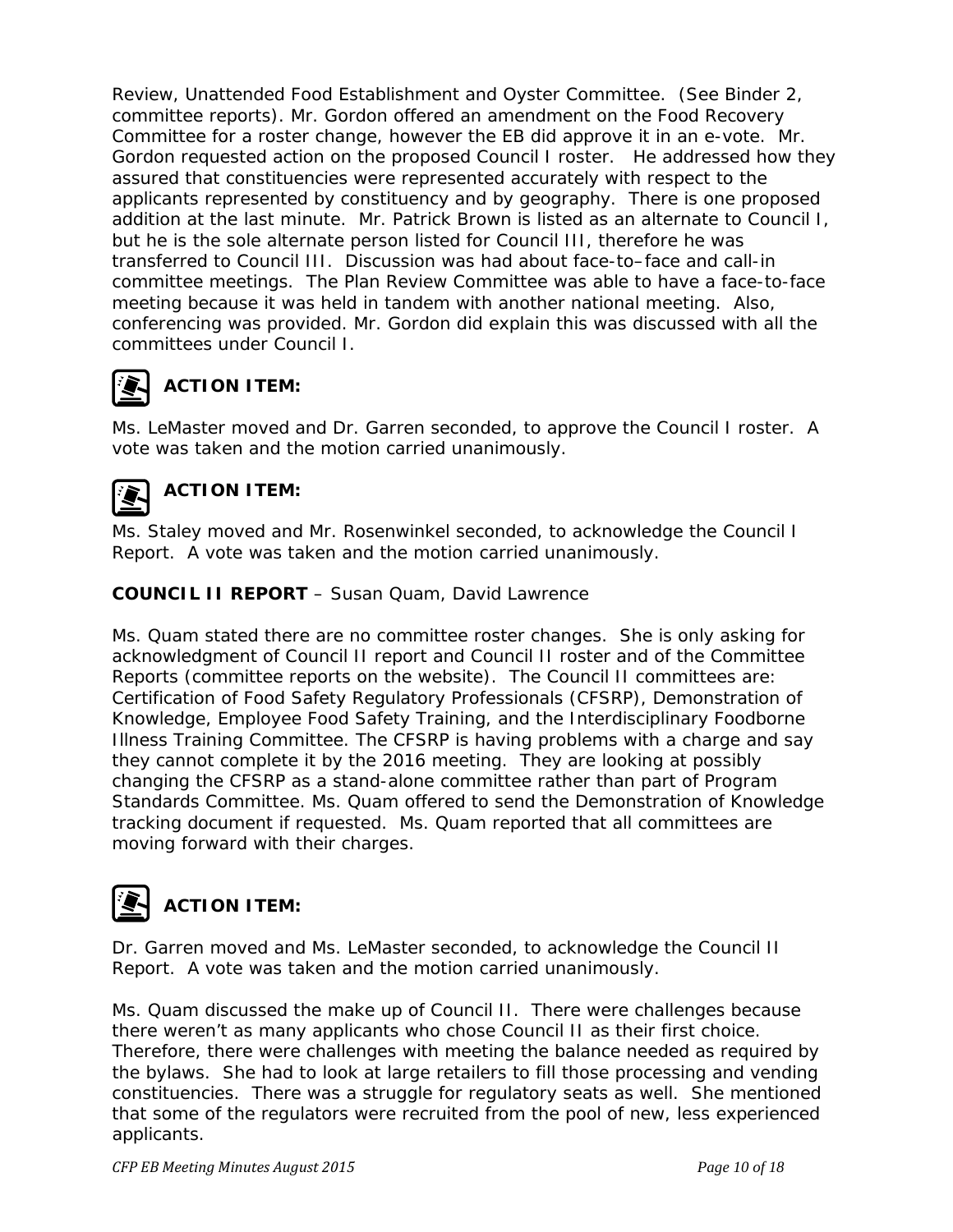Review, Unattended Food Establishment and Oyster Committee. (See Binder 2, committee reports). Mr. Gordon offered an amendment on the Food Recovery Committee for a roster change, however the EB did approve it in an e-vote. Mr. Gordon requested action on the proposed Council I roster. He addressed how they assured that constituencies were represented accurately with respect to the applicants represented by constituency and by geography. There is one proposed addition at the last minute. Mr. Patrick Brown is listed as an alternate to Council I, but he is the sole alternate person listed for Council III, therefore he was transferred to Council III. Discussion was had about face-to–face and call-in committee meetings. The Plan Review Committee was able to have a face-to-face meeting because it was held in tandem with another national meeting. Also, conferencing was provided. Mr. Gordon did explain this was discussed with all the committees under Council I.

# **ACTION ITEM:**

Ms. LeMaster moved and Dr. Garren seconded, to approve the Council I roster. A vote was taken and the motion carried unanimously.



### **ACTION ITEM:**

Ms. Staley moved and Mr. Rosenwinkel seconded, to acknowledge the Council I Report. A vote was taken and the motion carried unanimously.

#### **COUNCIL II REPORT** – Susan Quam, David Lawrence

Ms. Quam stated there are no committee roster changes. She is only asking for acknowledgment of Council II report and Council II roster and of the Committee Reports (committee reports on the website). The Council II committees are: Certification of Food Safety Regulatory Professionals (CFSRP), Demonstration of Knowledge, Employee Food Safety Training, and the Interdisciplinary Foodborne Illness Training Committee. The CFSRP is having problems with a charge and say they cannot complete it by the 2016 meeting. They are looking at possibly changing the CFSRP as a stand-alone committee rather than part of Program Standards Committee. Ms. Quam offered to send the Demonstration of Knowledge tracking document if requested. Ms. Quam reported that all committees are moving forward with their charges.

# **ACTION ITEM:**

Dr. Garren moved and Ms. LeMaster seconded, to acknowledge the Council II Report. A vote was taken and the motion carried unanimously.

Ms. Quam discussed the make up of Council II. There were challenges because there weren't as many applicants who chose Council II as their first choice. Therefore, there were challenges with meeting the balance needed as required by the bylaws. She had to look at large retailers to fill those processing and vending constituencies. There was a struggle for regulatory seats as well. She mentioned that some of the regulators were recruited from the pool of new, less experienced applicants.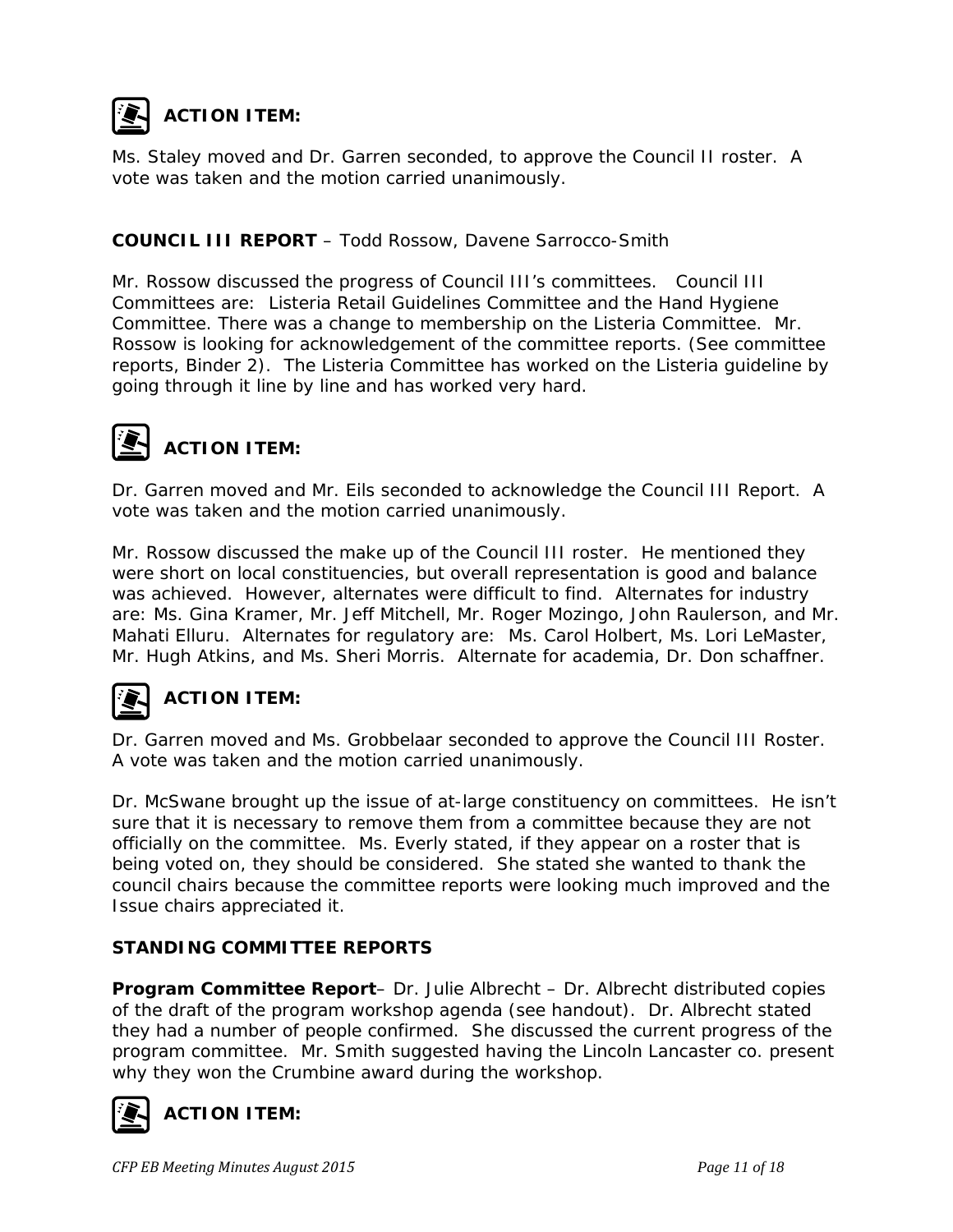

Ms. Staley moved and Dr. Garren seconded, to approve the Council II roster. A vote was taken and the motion carried unanimously.

#### **COUNCIL III REPORT** – Todd Rossow, Davene Sarrocco-Smith

Mr. Rossow discussed the progress of Council III's committees. Council III Committees are: Listeria Retail Guidelines Committee and the Hand Hygiene Committee. There was a change to membership on the Listeria Committee. Mr. Rossow is looking for acknowledgement of the committee reports. (See committee reports, Binder 2). The Listeria Committee has worked on the Listeria guideline by going through it line by line and has worked very hard.



# **ACTION ITEM:**

Dr. Garren moved and Mr. Eils seconded to acknowledge the Council III Report. A vote was taken and the motion carried unanimously.

Mr. Rossow discussed the make up of the Council III roster. He mentioned they were short on local constituencies, but overall representation is good and balance was achieved. However, alternates were difficult to find. Alternates for industry are: Ms. Gina Kramer, Mr. Jeff Mitchell, Mr. Roger Mozingo, John Raulerson, and Mr. Mahati Elluru. Alternates for regulatory are: Ms. Carol Holbert, Ms. Lori LeMaster, Mr. Hugh Atkins, and Ms. Sheri Morris. Alternate for academia, Dr. Don schaffner.



### **ACTION ITEM:**

Dr. Garren moved and Ms. Grobbelaar seconded to approve the Council III Roster. A vote was taken and the motion carried unanimously.

Dr. McSwane brought up the issue of at-large constituency on committees. He isn't sure that it is necessary to remove them from a committee because they are not officially on the committee. Ms. Everly stated, if they appear on a roster that is being voted on, they should be considered. She stated she wanted to thank the council chairs because the committee reports were looking much improved and the Issue chairs appreciated it.

#### **STANDING COMMITTEE REPORTS**

**Program Committee Report**– Dr. Julie Albrecht – Dr. Albrecht distributed copies of the draft of the program workshop agenda (see handout). Dr. Albrecht stated they had a number of people confirmed. She discussed the current progress of the program committee. Mr. Smith suggested having the Lincoln Lancaster co. present why they won the Crumbine award during the workshop.



### **ACTION ITEM:**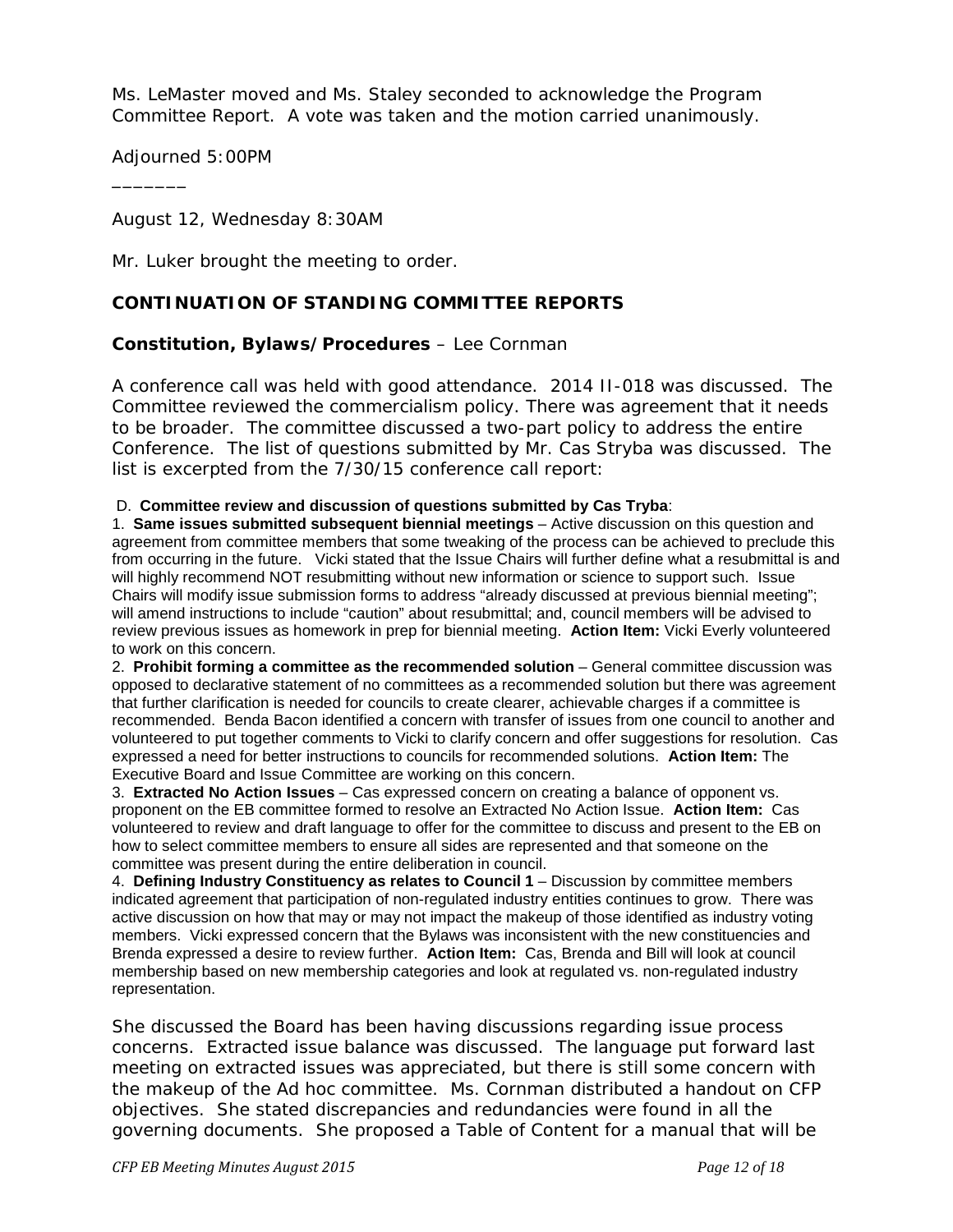Ms. LeMaster moved and Ms. Staley seconded to acknowledge the Program Committee Report. A vote was taken and the motion carried unanimously.

Adjourned 5:00PM

\_\_\_\_\_\_\_

*August 12, Wednesday 8:30AM*

*Mr. Luker brought the meeting to order.*

#### **CONTINUATION OF STANDING COMMITTEE REPORTS**

#### **Constitution, Bylaws/Procedures** – Lee Cornman

A conference call was held with good attendance. 2014 II-018 was discussed. The Committee reviewed the commercialism policy. There was agreement that it needs to be broader. The committee discussed a two-part policy to address the entire Conference. The list of questions submitted by Mr. Cas Stryba was discussed. The list is excerpted from the 7/30/15 conference call report:

D. **Committee review and discussion of questions submitted by Cas Tryba**:

1. **Same issues submitted subsequent biennial meetings** – Active discussion on this question and agreement from committee members that some tweaking of the process can be achieved to preclude this from occurring in the future. Vicki stated that the Issue Chairs will further define what a resubmittal is and will highly recommend NOT resubmitting without new information or science to support such. Issue Chairs will modify issue submission forms to address "already discussed at previous biennial meeting"; will amend instructions to include "caution" about resubmittal; and, council members will be advised to review previous issues as homework in prep for biennial meeting. **Action Item:** Vicki Everly volunteered to work on this concern.

2. **Prohibit forming a committee as the recommended solution** – General committee discussion was opposed to declarative statement of no committees as a recommended solution but there was agreement that further clarification is needed for councils to create clearer, achievable charges if a committee is recommended. Benda Bacon identified a concern with transfer of issues from one council to another and volunteered to put together comments to Vicki to clarify concern and offer suggestions for resolution. Cas expressed a need for better instructions to councils for recommended solutions. **Action Item:** The Executive Board and Issue Committee are working on this concern.

3. **Extracted No Action Issues** – Cas expressed concern on creating a balance of opponent vs. proponent on the EB committee formed to resolve an Extracted No Action Issue. **Action Item:** Cas volunteered to review and draft language to offer for the committee to discuss and present to the EB on how to select committee members to ensure all sides are represented and that someone on the committee was present during the entire deliberation in council.

4. **Defining Industry Constituency as relates to Council 1** – Discussion by committee members indicated agreement that participation of non-regulated industry entities continues to grow. There was active discussion on how that may or may not impact the makeup of those identified as industry voting members. Vicki expressed concern that the Bylaws was inconsistent with the new constituencies and Brenda expressed a desire to review further. **Action Item:** Cas, Brenda and Bill will look at council membership based on new membership categories and look at regulated vs. non-regulated industry representation.

She discussed the Board has been having discussions regarding issue process concerns. Extracted issue balance was discussed. The language put forward last meeting on extracted issues was appreciated, but there is still some concern with the makeup of the Ad hoc committee. Ms. Cornman distributed a handout on CFP objectives. She stated discrepancies and redundancies were found in all the governing documents. She proposed a Table of Content for a manual that will be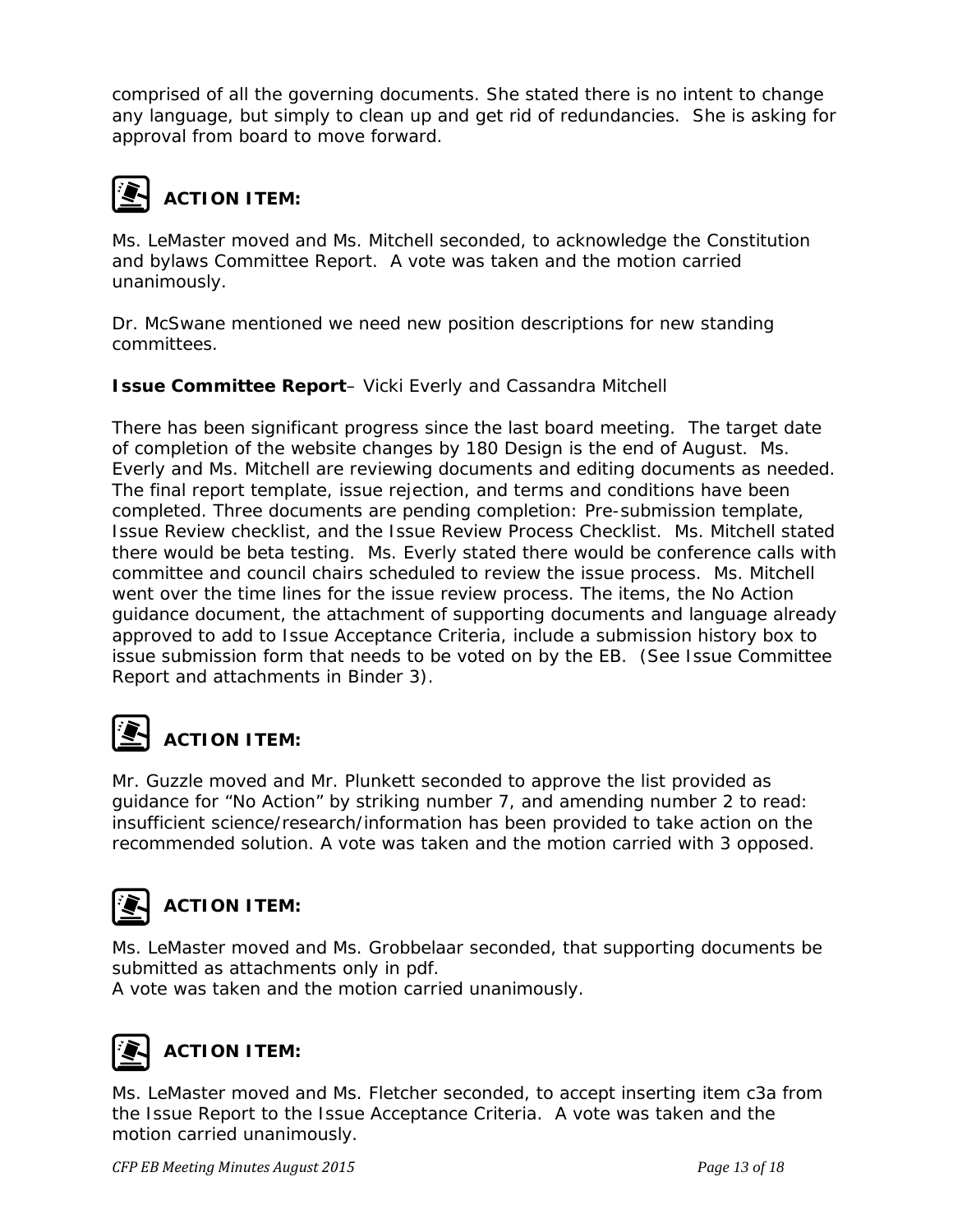comprised of all the governing documents. She stated there is no intent to change any language, but simply to clean up and get rid of redundancies. She is asking for approval from board to move forward.



# **ACTION ITEM:**

Ms. LeMaster moved and Ms. Mitchell seconded, to acknowledge the Constitution and bylaws Committee Report. A vote was taken and the motion carried unanimously.

Dr. McSwane mentioned we need new position descriptions for new standing committees.

**Issue Committee Report**– Vicki Everly and Cassandra Mitchell

There has been significant progress since the last board meeting. The target date of completion of the website changes by 180 Design is the end of August. Ms. Everly and Ms. Mitchell are reviewing documents and editing documents as needed. The final report template, issue rejection, and terms and conditions have been completed. Three documents are pending completion: Pre-submission template, Issue Review checklist, and the Issue Review Process Checklist. Ms. Mitchell stated there would be beta testing. Ms. Everly stated there would be conference calls with committee and council chairs scheduled to review the issue process. Ms. Mitchell went over the time lines for the issue review process. The items, the No Action guidance document, the attachment of supporting documents and language already approved to add to Issue Acceptance Criteria, include a submission history box to issue submission form that needs to be voted on by the EB. (See Issue Committee Report and attachments in Binder 3).

# **ACTION ITEM:**

Mr. Guzzle moved and Mr. Plunkett seconded to approve the list provided as guidance for "No Action" by striking number 7, and amending number 2 to read: insufficient science/research/information has been provided to take action on the recommended solution. A vote was taken and the motion carried with 3 opposed.



## **ACTION ITEM:**

Ms. LeMaster moved and Ms. Grobbelaar seconded, that supporting documents be submitted as attachments only in pdf.

A vote was taken and the motion carried unanimously.



### **ACTION ITEM:**

Ms. LeMaster moved and Ms. Fletcher seconded, to accept inserting item c3a from the Issue Report to the Issue Acceptance Criteria. A vote was taken and the motion carried unanimously.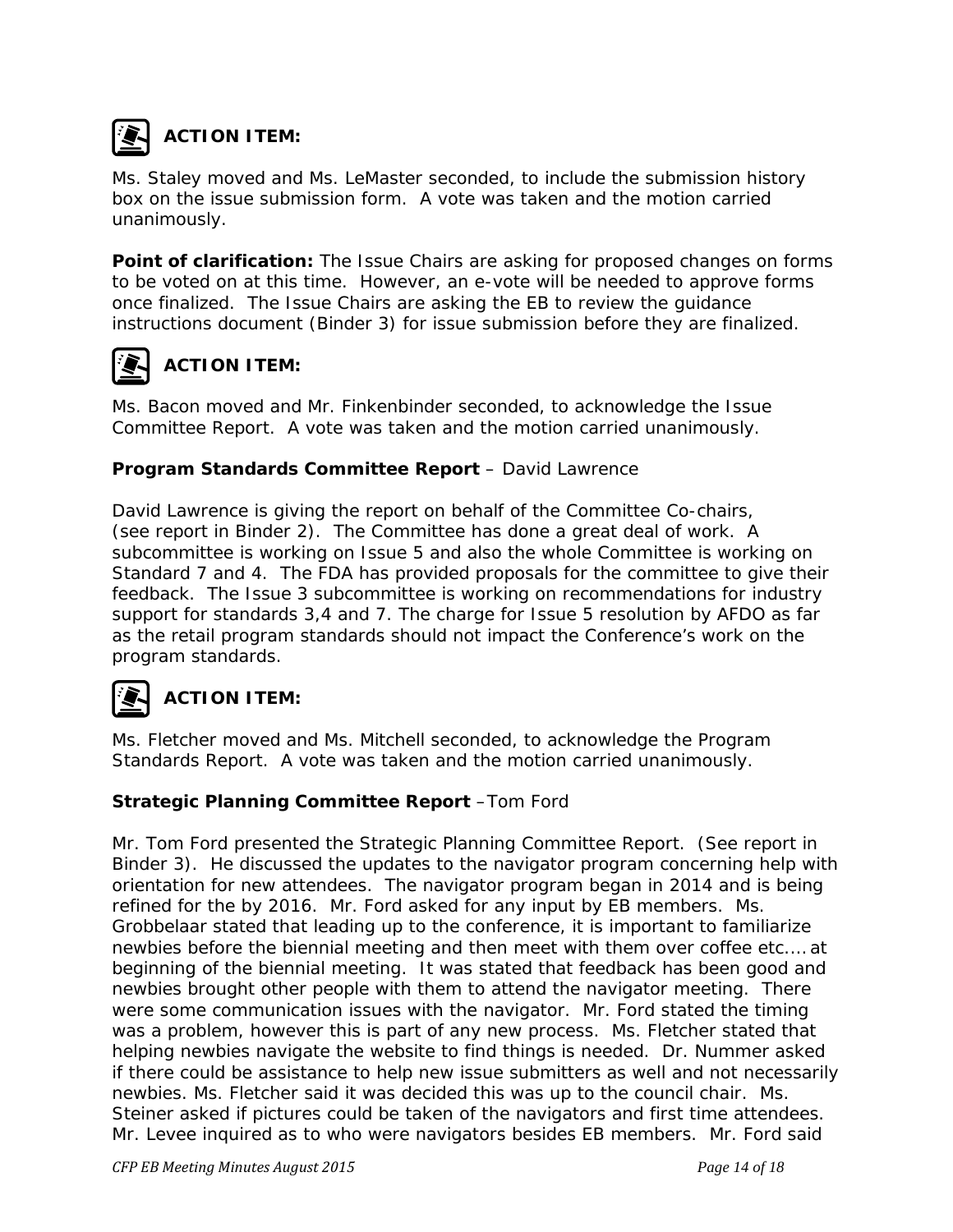

# **ACTION ITEM:**

Ms. Staley moved and Ms. LeMaster seconded, to include the submission history box on the issue submission form. A vote was taken and the motion carried unanimously.

**Point of clarification:** The Issue Chairs are asking for proposed changes on forms to be voted on at this time. However, an e-vote will be needed to approve forms once finalized. The Issue Chairs are asking the EB to review the guidance instructions document (Binder 3) for issue submission before they are finalized.



### **ACTION ITEM:**

Ms. Bacon moved and Mr. Finkenbinder seconded, to acknowledge the Issue Committee Report. A vote was taken and the motion carried unanimously.

#### **Program Standards Committee Report** – David Lawrence

David Lawrence is giving the report on behalf of the Committee Co-chairs, (see report in Binder 2). The Committee has done a great deal of work. A subcommittee is working on Issue 5 and also the whole Committee is working on Standard 7 and 4. The FDA has provided proposals for the committee to give their feedback. The Issue 3 subcommittee is working on recommendations for industry support for standards 3,4 and 7. The charge for Issue 5 resolution by AFDO as far as the retail program standards should not impact the Conference's work on the program standards.

### **ACTION ITEM:**

Ms. Fletcher moved and Ms. Mitchell seconded, to acknowledge the Program Standards Report. A vote was taken and the motion carried unanimously.

#### **Strategic Planning Committee Report** –Tom Ford

Mr. Tom Ford presented the Strategic Planning Committee Report. (See report in Binder 3). He discussed the updates to the navigator program concerning help with orientation for new attendees. The navigator program began in 2014 and is being refined for the by 2016. Mr. Ford asked for any input by EB members. Ms. Grobbelaar stated that leading up to the conference, it is important to familiarize newbies before the biennial meeting and then meet with them over coffee etc.… at beginning of the biennial meeting. It was stated that feedback has been good and newbies brought other people with them to attend the navigator meeting. There were some communication issues with the navigator. Mr. Ford stated the timing was a problem, however this is part of any new process. Ms. Fletcher stated that helping newbies navigate the website to find things is needed. Dr. Nummer asked if there could be assistance to help new issue submitters as well and not necessarily newbies. Ms. Fletcher said it was decided this was up to the council chair. Ms. Steiner asked if pictures could be taken of the navigators and first time attendees. Mr. Levee inquired as to who were navigators besides EB members. Mr. Ford said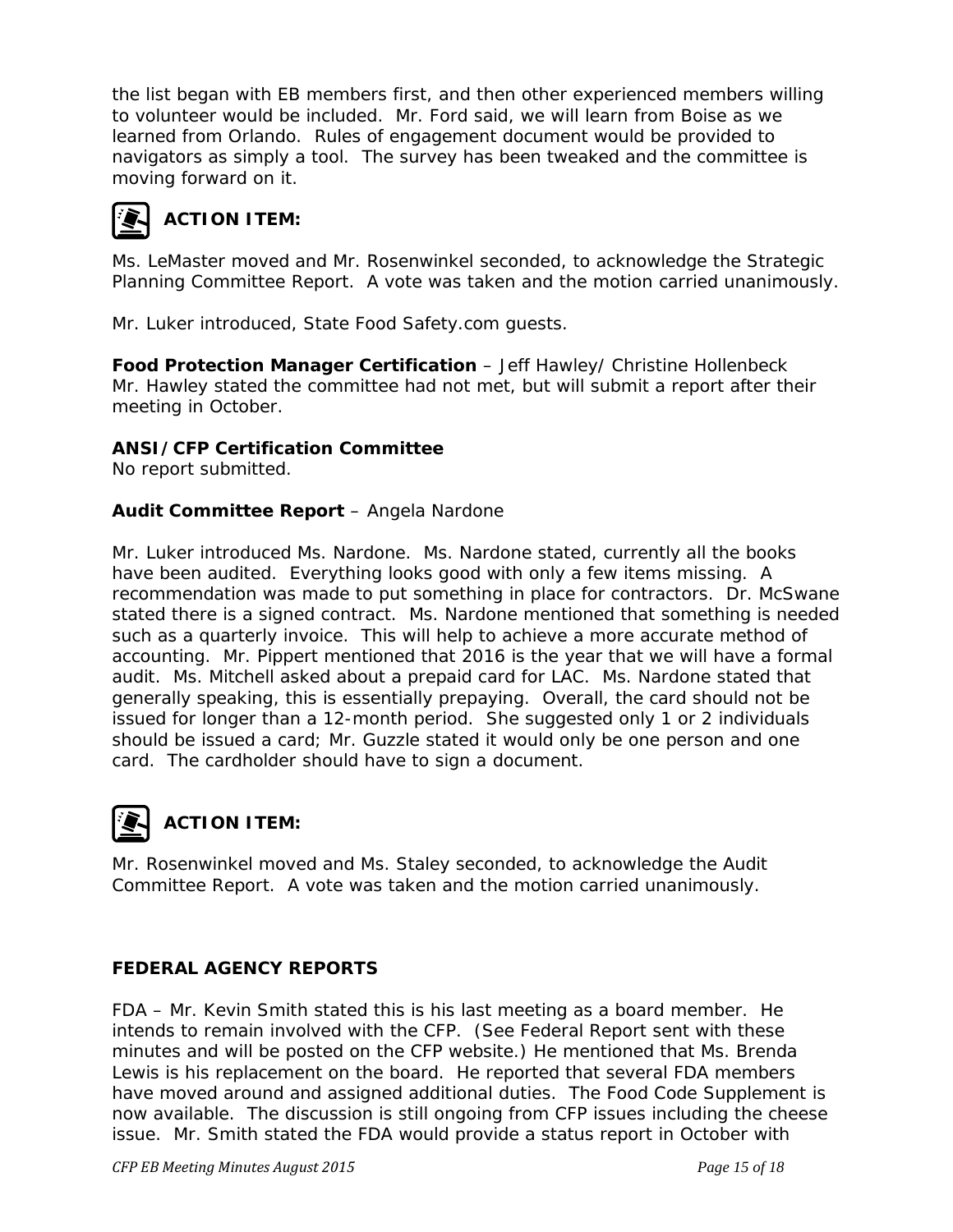the list began with EB members first, and then other experienced members willing to volunteer would be included. Mr. Ford said, we will learn from Boise as we learned from Orlando. Rules of engagement document would be provided to navigators as simply a tool. The survey has been tweaked and the committee is moving forward on it.



### **ACTION ITEM:**

Ms. LeMaster moved and Mr. Rosenwinkel seconded, to acknowledge the Strategic Planning Committee Report. A vote was taken and the motion carried unanimously.

Mr. Luker introduced, State Food Safety.com guests.

**Food Protection Manager Certification** – Jeff Hawley/ Christine Hollenbeck Mr. Hawley stated the committee had not met, but will submit a report after their meeting in October.

#### **ANSI/CFP Certification Committee**

No report submitted.

#### **Audit Committee Report** – Angela Nardone

Mr. Luker introduced Ms. Nardone. Ms. Nardone stated, currently all the books have been audited. Everything looks good with only a few items missing. A recommendation was made to put something in place for contractors. Dr. McSwane stated there is a signed contract. Ms. Nardone mentioned that something is needed such as a quarterly invoice. This will help to achieve a more accurate method of accounting. Mr. Pippert mentioned that 2016 is the year that we will have a formal audit. Ms. Mitchell asked about a prepaid card for LAC. Ms. Nardone stated that generally speaking, this is essentially prepaying. Overall, the card should not be issued for longer than a 12-month period. She suggested only 1 or 2 individuals should be issued a card; Mr. Guzzle stated it would only be one person and one card. The cardholder should have to sign a document.



### **ACTION ITEM:**

Mr. Rosenwinkel moved and Ms. Staley seconded, to acknowledge the Audit Committee Report. A vote was taken and the motion carried unanimously.

#### **FEDERAL AGENCY REPORTS**

FDA – Mr. Kevin Smith stated this is his last meeting as a board member. He intends to remain involved with the CFP. (See Federal Report sent with these minutes and will be posted on the CFP website.) He mentioned that Ms. Brenda Lewis is his replacement on the board. He reported that several FDA members have moved around and assigned additional duties. The Food Code Supplement is now available. The discussion is still ongoing from CFP issues including the cheese issue. Mr. Smith stated the FDA would provide a status report in October with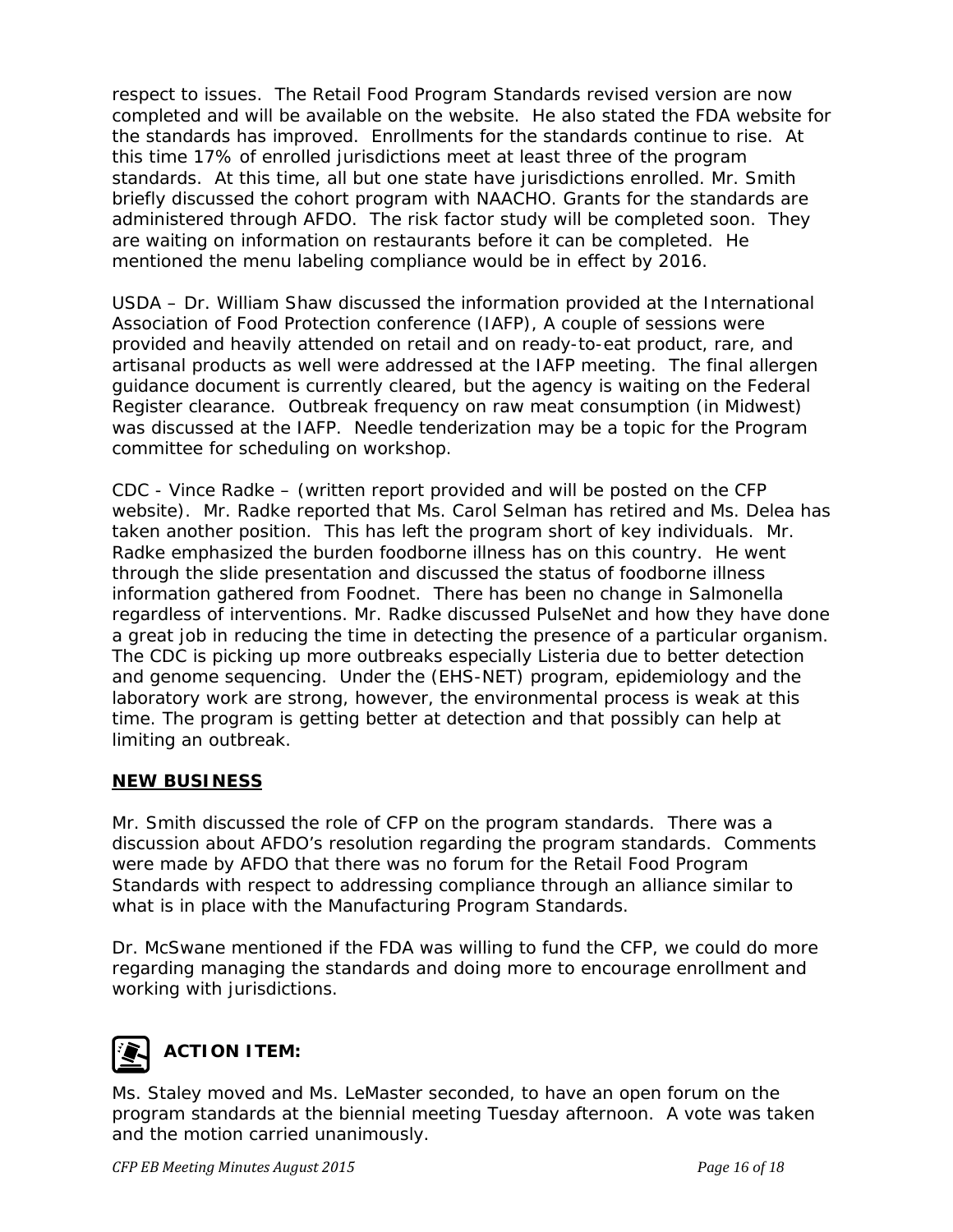respect to issues. The Retail Food Program Standards revised version are now completed and will be available on the website. He also stated the FDA website for the standards has improved. Enrollments for the standards continue to rise. At this time 17% of enrolled jurisdictions meet at least three of the program standards. At this time, all but one state have jurisdictions enrolled. Mr. Smith briefly discussed the cohort program with NAACHO. Grants for the standards are administered through AFDO. The risk factor study will be completed soon. They are waiting on information on restaurants before it can be completed. He mentioned the menu labeling compliance would be in effect by 2016.

USDA – Dr. William Shaw discussed the information provided at the International Association of Food Protection conference (IAFP), A couple of sessions were provided and heavily attended on retail and on ready-to-eat product, rare, and artisanal products as well were addressed at the IAFP meeting. The final allergen guidance document is currently cleared, but the agency is waiting on the Federal Register clearance. Outbreak frequency on raw meat consumption (in Midwest) was discussed at the IAFP. Needle tenderization may be a topic for the Program committee for scheduling on workshop.

CDC - Vince Radke – (written report provided and will be posted on the CFP website). Mr. Radke reported that Ms. Carol Selman has retired and Ms. Delea has taken another position. This has left the program short of key individuals. Mr. Radke emphasized the burden foodborne illness has on this country. He went through the slide presentation and discussed the status of foodborne illness information gathered from Foodnet. There has been no change in Salmonella regardless of interventions. Mr. Radke discussed PulseNet and how they have done a great job in reducing the time in detecting the presence of a particular organism. The CDC is picking up more outbreaks especially Listeria due to better detection and genome sequencing. Under the (EHS-NET) program, epidemiology and the laboratory work are strong, however, the environmental process is weak at this time. The program is getting better at detection and that possibly can help at limiting an outbreak.

#### *NEW BUSINESS*

Mr. Smith discussed the role of CFP on the program standards. There was a discussion about AFDO's resolution regarding the program standards. Comments were made by AFDO that there was no forum for the Retail Food Program Standards with respect to addressing compliance through an alliance similar to what is in place with the Manufacturing Program Standards.

Dr. McSwane mentioned if the FDA was willing to fund the CFP, we could do more regarding managing the standards and doing more to encourage enrollment and working with jurisdictions.



### **ACTION ITEM:**

Ms. Staley moved and Ms. LeMaster seconded, to have an open forum on the program standards at the biennial meeting Tuesday afternoon. A vote was taken and the motion carried unanimously.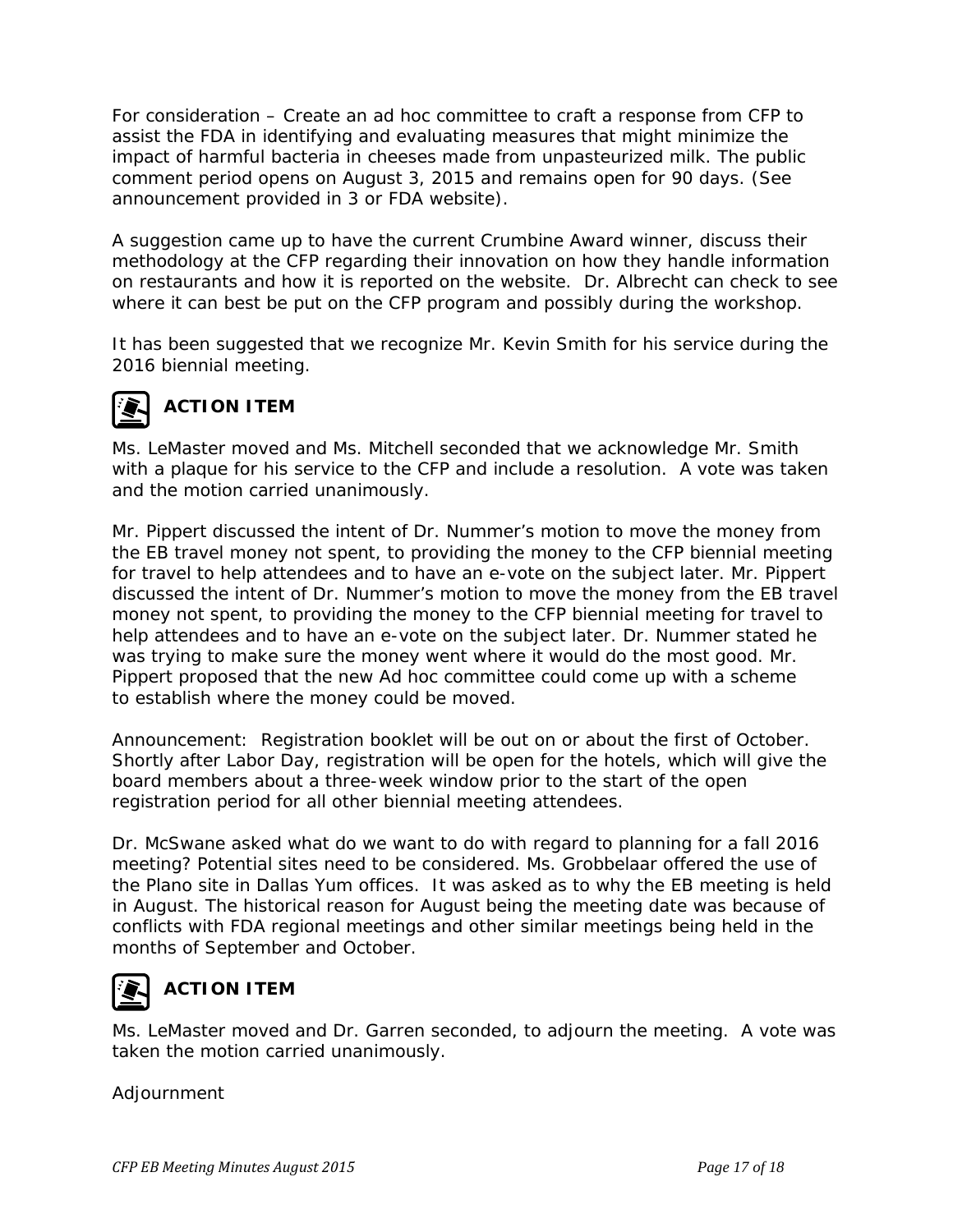For consideration – Create an ad hoc committee to craft a response from CFP to assist the FDA in identifying and evaluating measures that might minimize the impact of harmful bacteria in cheeses made from unpasteurized milk. The public comment period opens on August 3, 2015 and remains open for 90 days. (See announcement provided in 3 or FDA website).

A suggestion came up to have the current Crumbine Award winner, discuss their methodology at the CFP regarding their innovation on how they handle information on restaurants and how it is reported on the website. Dr. Albrecht can check to see where it can best be put on the CFP program and possibly during the workshop.

It has been suggested that we recognize Mr. Kevin Smith for his service during the 2016 biennial meeting.



### **ACTION ITEM**

Ms. LeMaster moved and Ms. Mitchell seconded that we acknowledge Mr. Smith with a plaque for his service to the CFP and include a resolution. A vote was taken and the motion carried unanimously.

Mr. Pippert discussed the intent of Dr. Nummer's motion to move the money from the EB travel money not spent, to providing the money to the CFP biennial meeting for travel to help attendees and to have an e-vote on the subject later. Mr. Pippert discussed the intent of Dr. Nummer's motion to move the money from the EB travel money not spent, to providing the money to the CFP biennial meeting for travel to help attendees and to have an e-vote on the subject later. Dr. Nummer stated he was trying to make sure the money went where it would do the most good. Mr. Pippert proposed that the new Ad hoc committee could come up with a scheme to establish where the money could be moved.

Announcement: Registration booklet will be out on or about the first of October. Shortly after Labor Day, registration will be open for the hotels, which will give the board members about a three-week window prior to the start of the open registration period for all other biennial meeting attendees.

Dr. McSwane asked what do we want to do with regard to planning for a fall 2016 meeting? Potential sites need to be considered. Ms. Grobbelaar offered the use of the Plano site in Dallas Yum offices. It was asked as to why the EB meeting is held in August. The historical reason for August being the meeting date was because of conflicts with FDA regional meetings and other similar meetings being held in the months of September and October.



# **ACTION ITEM**

Ms. LeMaster moved and Dr. Garren seconded, to adjourn the meeting. A vote was taken the motion carried unanimously.

Adjournment